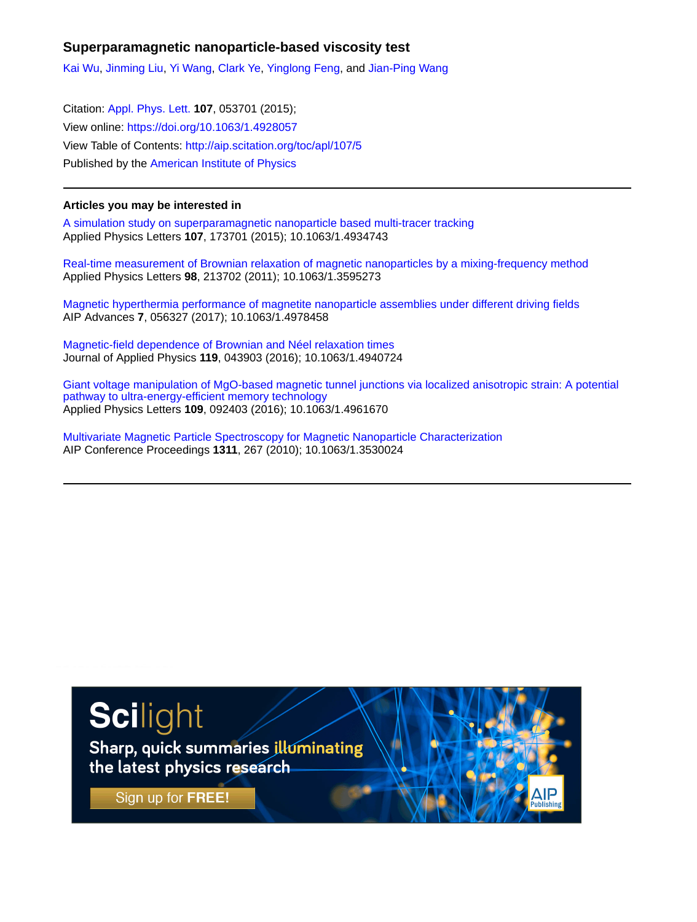## **Superparamagnetic nanoparticle-based viscosity test**

[Kai Wu](http://aip.scitation.org/author/Wu%2C+Kai), [Jinming Liu,](http://aip.scitation.org/author/Liu%2C+Jinming) [Yi Wang](http://aip.scitation.org/author/Wang%2C+Yi), [Clark Ye](http://aip.scitation.org/author/Ye%2C+Clark), [Yinglong Feng,](http://aip.scitation.org/author/Feng%2C+Yinglong) and [Jian-Ping Wang](http://aip.scitation.org/author/Wang%2C+Jian-Ping)

Citation: [Appl. Phys. Lett.](/loi/apl) **107**, 053701 (2015); View online: <https://doi.org/10.1063/1.4928057> View Table of Contents: <http://aip.scitation.org/toc/apl/107/5> Published by the [American Institute of Physics](http://aip.scitation.org/publisher/)

## **Articles you may be interested in**

[A simulation study on superparamagnetic nanoparticle based multi-tracer tracking](http://aip.scitation.org/doi/abs/10.1063/1.4934743) Applied Physics Letters **107**, 173701 (2015); 10.1063/1.4934743

[Real-time measurement of Brownian relaxation of magnetic nanoparticles by a mixing-frequency method](http://aip.scitation.org/doi/abs/10.1063/1.3595273) Applied Physics Letters **98**, 213702 (2011); 10.1063/1.3595273

[Magnetic hyperthermia performance of magnetite nanoparticle assemblies under different driving fields](http://aip.scitation.org/doi/abs/10.1063/1.4978458) AIP Advances **7**, 056327 (2017); 10.1063/1.4978458

[Magnetic-field dependence of Brownian and Néel relaxation times](http://aip.scitation.org/doi/abs/10.1063/1.4940724) Journal of Applied Physics **119**, 043903 (2016); 10.1063/1.4940724

[Giant voltage manipulation of MgO-based magnetic tunnel junctions via localized anisotropic strain: A potential](http://aip.scitation.org/doi/abs/10.1063/1.4961670) [pathway to ultra-energy-efficient memory technology](http://aip.scitation.org/doi/abs/10.1063/1.4961670) Applied Physics Letters **109**, 092403 (2016); 10.1063/1.4961670

[Multivariate Magnetic Particle Spectroscopy for Magnetic Nanoparticle Characterization](http://aip.scitation.org/doi/abs/10.1063/1.3530024) AIP Conference Proceedings **1311**, 267 (2010); 10.1063/1.3530024

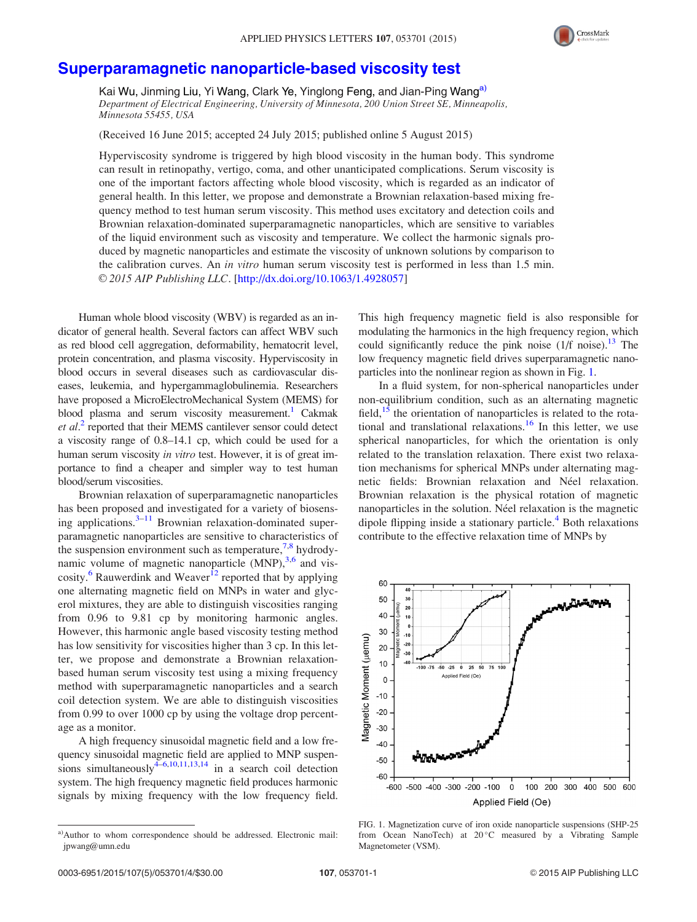

## [Superparamagnetic nanoparticle-based viscosity test](http://dx.doi.org/10.1063/1.4928057)

Kai Wu, Jinming Liu, Yi Wang, Clark Ye, Yinglong Feng, and Jian-Ping Wang<sup>a)</sup> Department of Electrical Engineering, University of Minnesota, 200 Union Street SE, Minneapolis, Minnesota 55455, USA

(Received 16 June 2015; accepted 24 July 2015; published online 5 August 2015)

Hyperviscosity syndrome is triggered by high blood viscosity in the human body. This syndrome can result in retinopathy, vertigo, coma, and other unanticipated complications. Serum viscosity is one of the important factors affecting whole blood viscosity, which is regarded as an indicator of general health. In this letter, we propose and demonstrate a Brownian relaxation-based mixing frequency method to test human serum viscosity. This method uses excitatory and detection coils and Brownian relaxation-dominated superparamagnetic nanoparticles, which are sensitive to variables of the liquid environment such as viscosity and temperature. We collect the harmonic signals produced by magnetic nanoparticles and estimate the viscosity of unknown solutions by comparison to the calibration curves. An in vitro human serum viscosity test is performed in less than 1.5 min. © 2015 AIP Publishing LLC. [[http://dx.doi.org/10.1063/1.4928057\]](http://dx.doi.org/10.1063/1.4928057)

Human whole blood viscosity (WBV) is regarded as an indicator of general health. Several factors can affect WBV such as red blood cell aggregation, deformability, hematocrit level, protein concentration, and plasma viscosity. Hyperviscosity in blood occurs in several diseases such as cardiovascular diseases, leukemia, and hypergammaglobulinemia. Researchers have proposed a MicroElectroMechanical System (MEMS) for blood plasma and serum viscosity measurement.<sup>1</sup> Cakmak et al.<sup>[2](#page-4-0)</sup> reported that their MEMS cantilever sensor could detect a viscosity range of 0.8–14.1 cp, which could be used for a human serum viscosity in vitro test. However, it is of great importance to find a cheaper and simpler way to test human blood/serum viscosities.

Brownian relaxation of superparamagnetic nanoparticles has been proposed and investigated for a variety of biosensing applications. $3-11$  Brownian relaxation-dominated superparamagnetic nanoparticles are sensitive to characteristics of the suspension environment such as temperature,  $7.8$  $7.8$  $7.8$  hydrodynamic volume of magnetic nanoparticle  $(MNP)$ ,  $3.6$  and vis-cosity.<sup>[6](#page-4-0)</sup> Rauwerdink and Weaver<sup>[12](#page-4-0)</sup> reported that by applying one alternating magnetic field on MNPs in water and glycerol mixtures, they are able to distinguish viscosities ranging from 0.96 to 9.81 cp by monitoring harmonic angles. However, this harmonic angle based viscosity testing method has low sensitivity for viscosities higher than 3 cp. In this letter, we propose and demonstrate a Brownian relaxationbased human serum viscosity test using a mixing frequency method with superparamagnetic nanoparticles and a search coil detection system. We are able to distinguish viscosities from 0.99 to over 1000 cp by using the voltage drop percentage as a monitor.

A high frequency sinusoidal magnetic field and a low frequency sinusoidal magnetic field are applied to MNP suspensions simultaneously $4-6,10,11,13,14$  in a search coil detection system. The high frequency magnetic field produces harmonic signals by mixing frequency with the low frequency field. This high frequency magnetic field is also responsible for modulating the harmonics in the high frequency region, which could significantly reduce the pink noise  $(1/f \text{ noise})$ .<sup>[13](#page-4-0)</sup> The low frequency magnetic field drives superparamagnetic nanoparticles into the nonlinear region as shown in Fig. 1.

In a fluid system, for non-spherical nanoparticles under non-equilibrium condition, such as an alternating magnetic field, $15$  the orientation of nanoparticles is related to the rota-tional and translational relaxations.<sup>[16](#page-4-0)</sup> In this letter, we use spherical nanoparticles, for which the orientation is only related to the translation relaxation. There exist two relaxation mechanisms for spherical MNPs under alternating magnetic fields: Brownian relaxation and Néel relaxation. Brownian relaxation is the physical rotation of magnetic nanoparticles in the solution. Néel relaxation is the magnetic dipole flipping inside a stationary particle.<sup>[4](#page-4-0)</sup> Both relaxations contribute to the effective relaxation time of MNPs by



FIG. 1. Magnetization curve of iron oxide nanoparticle suspensions (SHP-25 from Ocean NanoTech) at 20°C measured by a Vibrating Sample Magnetometer (VSM).

a)Author to whom correspondence should be addressed. Electronic mail: [jpwang@umn.edu](mailto:jpwang@umn.edu)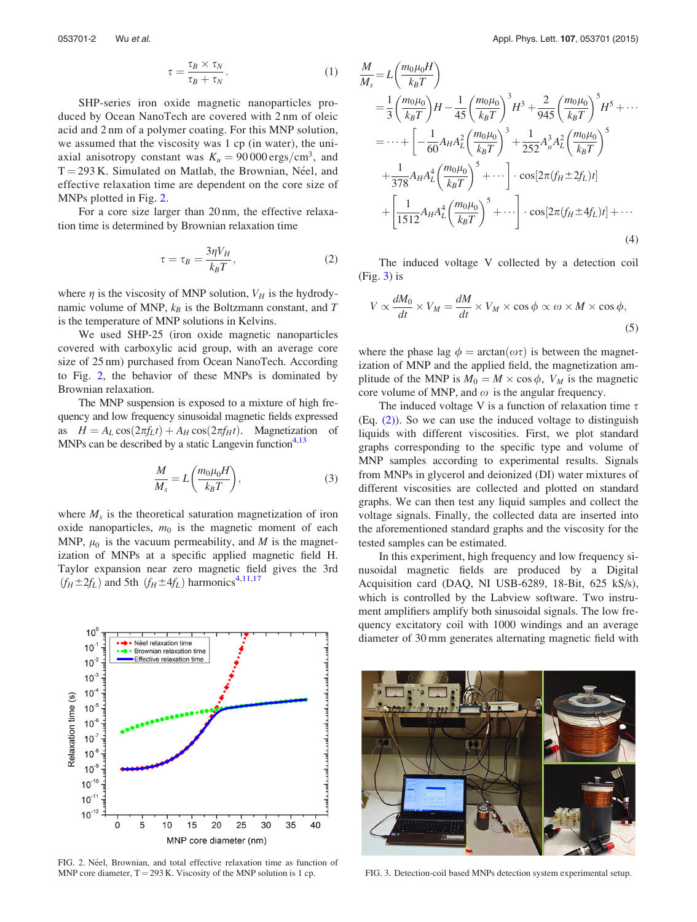$$
\tau = \frac{\tau_B \times \tau_N}{\tau_B + \tau_N}.\tag{1}
$$

SHP-series iron oxide magnetic nanoparticles produced by Ocean NanoTech are covered with 2 nm of oleic acid and 2 nm of a polymer coating. For this MNP solution, we assumed that the viscosity was 1 cp (in water), the uniaxial anisotropy constant was  $K_u = 90000 \text{ ergs/cm}^3$ , and  $T = 293$  K. Simulated on Matlab, the Brownian, Néel, and effective relaxation time are dependent on the core size of MNPs plotted in Fig. 2.

For a core size larger than 20 nm, the effective relaxation time is determined by Brownian relaxation time

$$
\tau = \tau_B = \frac{3\eta V_H}{k_B T},\tag{2}
$$

where  $\eta$  is the viscosity of MNP solution,  $V_H$  is the hydrodynamic volume of MNP,  $k_B$  is the Boltzmann constant, and T is the temperature of MNP solutions in Kelvins.

We used SHP-25 (iron oxide magnetic nanoparticles covered with carboxylic acid group, with an average core size of 25 nm) purchased from Ocean NanoTech. According to Fig. 2, the behavior of these MNPs is dominated by Brownian relaxation.

The MNP suspension is exposed to a mixture of high frequency and low frequency sinusoidal magnetic fields expressed as  $H = A_L \cos(2\pi f_L t) + A_H \cos(2\pi f_H t)$ . Magnetization of MNPs can be described by a static Langevin function<sup>4,13</sup>

$$
\frac{M}{M_s} = L\left(\frac{m_0\mu_0 H}{k_B T}\right),\tag{3}
$$

where  $M<sub>s</sub>$  is the theoretical saturation magnetization of iron oxide nanoparticles,  $m_0$  is the magnetic moment of each MNP,  $\mu_0$  is the vacuum permeability, and M is the magnetization of MNPs at a specific applied magnetic field H. Taylor expansion near zero magnetic field gives the 3rd  $(f_H \pm 2f_L)$  and 5th  $(f_H \pm 4f_L)$  harmonics<sup>[4,11,17](#page-4-0)</sup>



FIG. 2. Néel, Brownian, and total effective relaxation time as function of MNP core diameter, T = 293 K. Viscosity of the MNP solution is 1 cp. FIG. 3. Detection-coil based MNPs detection system experimental setup.

$$
\frac{M}{M_s} = L \left( \frac{m_0 \mu_0 H}{k_B T} \right)
$$
\n
$$
= \frac{1}{3} \left( \frac{m_0 \mu_0}{k_B T} \right) H - \frac{1}{45} \left( \frac{m_0 \mu_0}{k_B T} \right)^3 H^3 + \frac{2}{945} \left( \frac{m_0 \mu_0}{k_B T} \right)^5 H^5 + \cdots
$$
\n
$$
= \cdots + \left[ -\frac{1}{60} A_H A_L^2 \left( \frac{m_0 \mu_0}{k_B T} \right)^3 + \frac{1}{252} A_H^3 A_L^2 \left( \frac{m_0 \mu_0}{k_B T} \right)^5 + \frac{1}{378} A_H A_L^4 \left( \frac{m_0 \mu_0}{k_B T} \right)^5 + \cdots \right] \cdot \cos[2\pi (f_H \pm 2f_L)t]
$$
\n
$$
+ \left[ \frac{1}{1512} A_H A_L^4 \left( \frac{m_0 \mu_0}{k_B T} \right)^5 + \cdots \right] \cdot \cos[2\pi (f_H \pm 4f_L)t] + \cdots \tag{4}
$$

The induced voltage V collected by a detection coil  $(Fig. 3)$  is

$$
V \propto \frac{dM_0}{dt} \times V_M = \frac{dM}{dt} \times V_M \times \cos \phi \propto \omega \times M \times \cos \phi,
$$
\n(5)

where the phase lag  $\phi = \arctan(\omega \tau)$  is between the magnetization of MNP and the applied field, the magnetization amplitude of the MNP is  $M_0 = M \times \cos \phi$ ,  $V_M$  is the magnetic core volume of MNP, and  $\omega$  is the angular frequency.

The induced voltage V is a function of relaxation time  $\tau$ (Eq. (2)). So we can use the induced voltage to distinguish liquids with different viscosities. First, we plot standard graphs corresponding to the specific type and volume of MNP samples according to experimental results. Signals from MNPs in glycerol and deionized (DI) water mixtures of different viscosities are collected and plotted on standard graphs. We can then test any liquid samples and collect the voltage signals. Finally, the collected data are inserted into the aforementioned standard graphs and the viscosity for the tested samples can be estimated.

In this experiment, high frequency and low frequency sinusoidal magnetic fields are produced by a Digital Acquisition card (DAQ, NI USB-6289, 18-Bit, 625 kS/s), which is controlled by the Labview software. Two instrument amplifiers amplify both sinusoidal signals. The low frequency excitatory coil with 1000 windings and an average diameter of 30 mm generates alternating magnetic field with

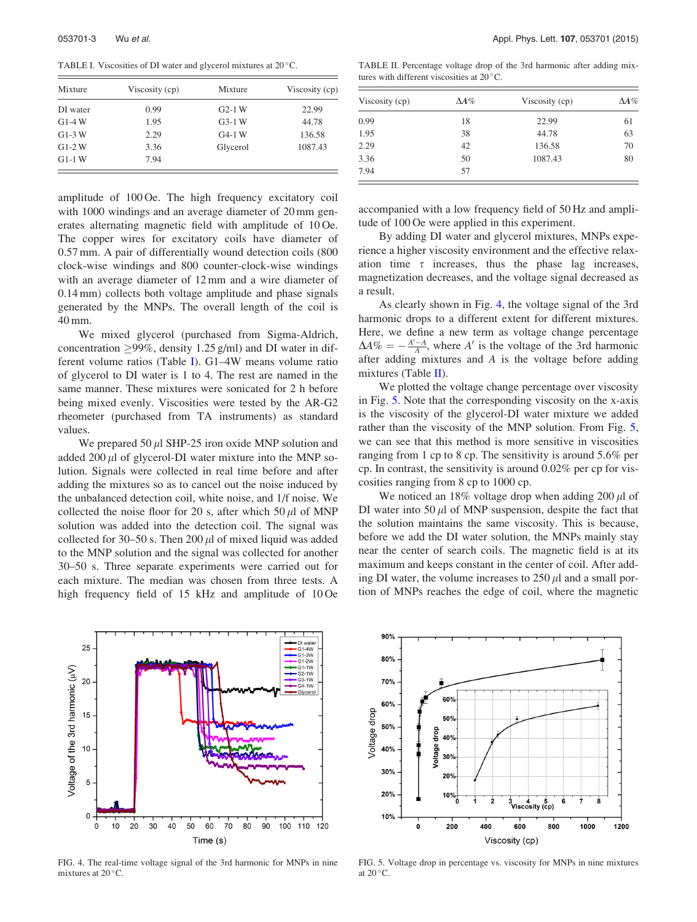<span id="page-3-0"></span>TABLE I. Viscosities of DI water and glycerol mixtures at 20°C.

| Mixture  | Viscosity (cp) | Mixture  | Viscosity (cp) |
|----------|----------------|----------|----------------|
| DI water | 0.99           | $G2-1$ W | 22.99          |
| $G1-4W$  | 1.95           | $G3-1$ W | 44.78          |
| $G1-3$ W | 2.29           | $G4-1$ W | 136.58         |
| $G1-2W$  | 3.36           | Glycerol | 1087.43        |
| $G1-1$ W | 7.94           |          |                |

amplitude of 100 Oe. The high frequency excitatory coil with 1000 windings and an average diameter of 20 mm generates alternating magnetic field with amplitude of 10 Oe. The copper wires for excitatory coils have diameter of 0.57 mm. A pair of differentially wound detection coils (800 clock-wise windings and 800 counter-clock-wise windings with an average diameter of 12 mm and a wire diameter of 0.14 mm) collects both voltage amplitude and phase signals generated by the MNPs. The overall length of the coil is 40 mm.

We mixed glycerol (purchased from Sigma-Aldrich, concentration  $\geq$ 99%, density 1.25 g/ml) and DI water in different volume ratios (Table I). G1–4W means volume ratio of glycerol to DI water is 1 to 4. The rest are named in the same manner. These mixtures were sonicated for 2 h before being mixed evenly. Viscosities were tested by the AR-G2 rheometer (purchased from TA instruments) as standard values.

We prepared 50  $\mu$ l SHP-25 iron oxide MNP solution and added 200  $\mu$ l of glycerol-DI water mixture into the MNP solution. Signals were collected in real time before and after adding the mixtures so as to cancel out the noise induced by the unbalanced detection coil, white noise, and 1/f noise. We collected the noise floor for 20 s, after which 50  $\mu$ l of MNP solution was added into the detection coil. The signal was collected for 30–50 s. Then 200  $\mu$ l of mixed liquid was added to the MNP solution and the signal was collected for another 30–50 s. Three separate experiments were carried out for each mixture. The median was chosen from three tests. A high frequency field of 15 kHz and amplitude of 10 Oe

TABLE II. Percentage voltage drop of the 3rd harmonic after adding mixtures with different viscosities at  $20^{\circ}$ C.

| Viscosity (cp) | $\Delta A\%$ | Viscosity (cp) | $\Delta A\%$ |
|----------------|--------------|----------------|--------------|
| 0.99           | 18           | 22.99          | 61           |
| 1.95           | 38           | 44.78          | 63           |
| 2.29           | 42           | 136.58         | 70           |
| 3.36           | 50           | 1087.43        | 80           |
| 7.94           | 57           |                |              |

accompanied with a low frequency field of 50 Hz and amplitude of 100 Oe were applied in this experiment.

By adding DI water and glycerol mixtures, MNPs experience a higher viscosity environment and the effective relaxation time  $\tau$  increases, thus the phase lag increases, magnetization decreases, and the voltage signal decreased as a result.

As clearly shown in Fig. 4, the voltage signal of the 3rd harmonic drops to a different extent for different mixtures. Here, we define a new term as voltage change percentage  $\Delta A\% = -\frac{A'-A}{A}$ , where A' is the voltage of the 3rd harmonic after adding mixtures and A is the voltage before adding mixtures (Table II).

We plotted the voltage change percentage over viscosity in Fig. 5. Note that the corresponding viscosity on the x-axis is the viscosity of the glycerol-DI water mixture we added rather than the viscosity of the MNP solution. From Fig. 5, we can see that this method is more sensitive in viscosities ranging from 1 cp to 8 cp. The sensitivity is around 5.6% per cp. In contrast, the sensitivity is around 0.02% per cp for viscosities ranging from 8 cp to 1000 cp.

We noticed an  $18\%$  voltage drop when adding  $200 \mu l$  of DI water into 50  $\mu$ l of MNP suspension, despite the fact that the solution maintains the same viscosity. This is because, before we add the DI water solution, the MNPs mainly stay near the center of search coils. The magnetic field is at its maximum and keeps constant in the center of coil. After adding DI water, the volume increases to  $250 \mu l$  and a small portion of MNPs reaches the edge of coil, where the magnetic



FIG. 4. The real-time voltage signal of the 3rd harmonic for MNPs in nine mixtures at  $20^{\circ}$ C.



FIG. 5. Voltage drop in percentage vs. viscosity for MNPs in nine mixtures at  $20^{\circ}$ C.